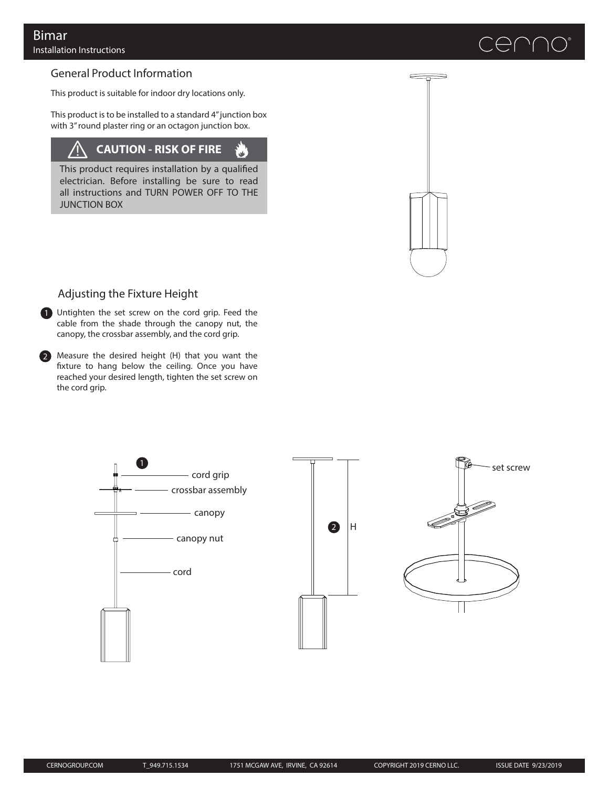# enn

# General Product Information

This product is suitable for indoor dry locations only.

This product is to be installed to a standard 4" junction box with 3" round plaster ring or an octagon junction box.

#### **CAUTION - RISK OF FIRE** /<u>|</u>

 $\mathbf{v}$ 

This product requires installation by a qualified electrician. Before installing be sure to read all instructions and TURN POWER OFF TO THE JUNCTION BOX



## Adjusting the Fixture Height

1 Untighten the set screw on the cord grip. Feed the cable from the shade through the canopy nut, the canopy, the crossbar assembly, and the cord grip.

2 Measure the desired height (H) that you want the fixture to hang below the ceiling. Once you have reached your desired length, tighten the set screw on the cord grip.